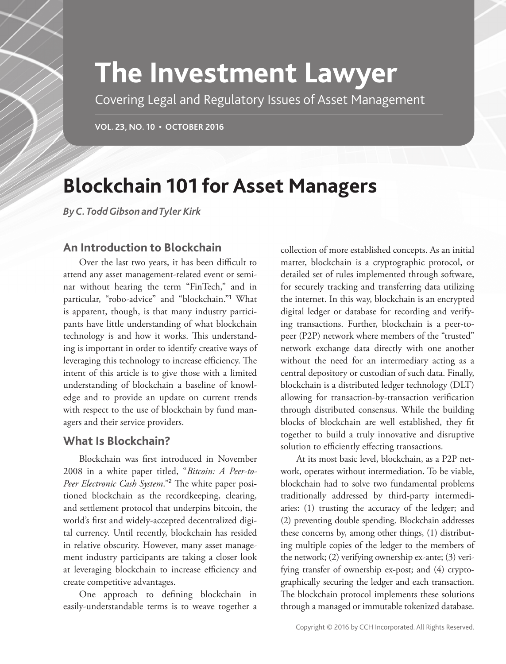# **The Investment Lawyer**

Covering Legal and Regulatory Issues of Asset Management

**VOL. 23, NO. 10 • OCTOBER 2016**

## **Blockchain 101 for Asset Managers**

*By C. Todd Gibson and Tyler Kirk*

## **An Introduction to Blockchain**

Over the last two years, it has been difficult to attend any asset management-related event or seminar without hearing the term "FinTech," and in particular, "robo-advice" and "blockchain."**<sup>1</sup>** What is apparent, though, is that many industry participants have little understanding of what blockchain technology is and how it works. This understanding is important in order to identify creative ways of leveraging this technology to increase efficiency. The intent of this article is to give those with a limited understanding of blockchain a baseline of knowledge and to provide an update on current trends with respect to the use of blockchain by fund managers and their service providers.

## **What Is Blockchain?**

Blockchain was first introduced in November 2008 in a white paper titled, "*Bitcoin: A Peer-to-*Peer Electronic Cash System."<sup>2</sup> The white paper positioned blockchain as the recordkeeping, clearing, and settlement protocol that underpins bitcoin, the world's first and widely-accepted decentralized digital currency. Until recently, blockchain has resided in relative obscurity. However, many asset management industry participants are taking a closer look at leveraging blockchain to increase efficiency and create competitive advantages.

One approach to defining blockchain in easily- understandable terms is to weave together a

collection of more established concepts. As an initial matter, blockchain is a cryptographic protocol, or detailed set of rules implemented through software, for securely tracking and transferring data utilizing the internet. In this way, blockchain is an encrypted digital ledger or database for recording and verifying transactions. Further, blockchain is a peer-topeer (P2P) network where members of the "trusted" network exchange data directly with one another without the need for an intermediary acting as a central depository or custodian of such data. Finally, blockchain is a distributed ledger technology (DLT) allowing for transaction-by-transaction verification through distributed consensus. While the building blocks of blockchain are well established, they fit together to build a truly innovative and disruptive solution to efficiently effecting transactions.

At its most basic level, blockchain, as a P2P network, operates without intermediation. To be viable, blockchain had to solve two fundamental problems traditionally addressed by third-party intermediaries: (1) trusting the accuracy of the ledger; and (2) preventing double spending. Blockchain addresses these concerns by, among other things, (1) distributing multiple copies of the ledger to the members of the network; (2) verifying ownership ex-ante; (3) verifying transfer of ownership ex-post; and (4) cryptographically securing the ledger and each transaction. The blockchain protocol implements these solutions through a managed or immutable tokenized database.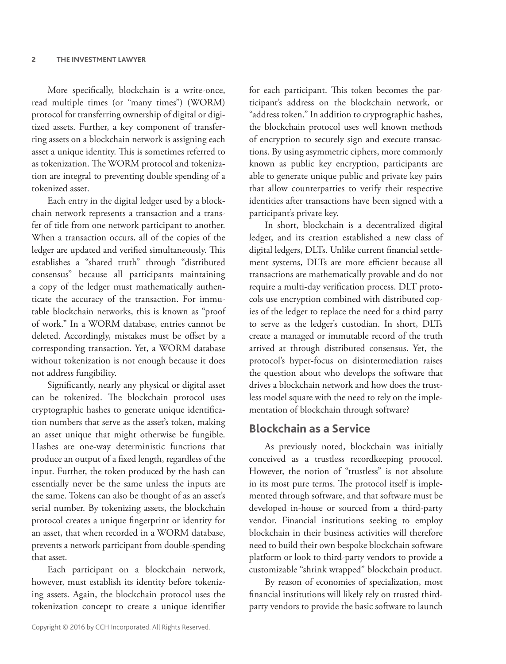More specifically, blockchain is a write-once, read multiple times (or "many times") (WORM) protocol for transferring ownership of digital or digitized assets. Further, a key component of transferring assets on a blockchain network is assigning each asset a unique identity. This is sometimes referred to as tokenization. The WORM protocol and tokenization are integral to preventing double spending of a tokenized asset.

Each entry in the digital ledger used by a blockchain network represents a transaction and a transfer of title from one network participant to another. When a transaction occurs, all of the copies of the ledger are updated and verified simultaneously. This establishes a "shared truth" through "distributed consensus" because all participants maintaining a copy of the ledger must mathematically authenticate the accuracy of the transaction. For immutable blockchain networks, this is known as "proof of work." In a WORM database, entries cannot be deleted. Accordingly, mistakes must be offset by a corresponding transaction. Yet, a WORM database without tokenization is not enough because it does not address fungibility.

Significantly, nearly any physical or digital asset can be tokenized. The blockchain protocol uses cryptographic hashes to generate unique identification numbers that serve as the asset's token, making an asset unique that might otherwise be fungible. Hashes are one-way deterministic functions that produce an output of a fixed length, regardless of the input. Further, the token produced by the hash can essentially never be the same unless the inputs are the same. Tokens can also be thought of as an asset's serial number. By tokenizing assets, the blockchain protocol creates a unique fingerprint or identity for an asset, that when recorded in a WORM database, prevents a network participant from double-spending that asset.

Each participant on a blockchain network, however, must establish its identity before tokenizing assets. Again, the blockchain protocol uses the tokenization concept to create a unique identifier

Copyright © 2016 by CCH Incorporated. All Rights Reserved.

for each participant. This token becomes the participant's address on the blockchain network, or "address token." In addition to cryptographic hashes, the blockchain protocol uses well known methods of encryption to securely sign and execute transactions. By using asymmetric ciphers, more commonly known as public key encryption, participants are able to generate unique public and private key pairs that allow counterparties to verify their respective identities after transactions have been signed with a participant's private key.

In short, blockchain is a decentralized digital ledger, and its creation established a new class of digital ledgers, DLTs. Unlike current financial settlement systems, DLTs are more efficient because all transactions are mathematically provable and do not require a multi-day verification process. DLT protocols use encryption combined with distributed copies of the ledger to replace the need for a third party to serve as the ledger's custodian. In short, DLTs create a managed or immutable record of the truth arrived at through distributed consensus. Yet, the protocol's hyper-focus on disintermediation raises the question about who develops the software that drives a blockchain network and how does the trustless model square with the need to rely on the implementation of blockchain through software?

#### **Blockchain as a Service**

As previously noted, blockchain was initially conceived as a trustless recordkeeping protocol. However, the notion of "trustless" is not absolute in its most pure terms. The protocol itself is implemented through software, and that software must be developed in-house or sourced from a third-party vendor. Financial institutions seeking to employ blockchain in their business activities will therefore need to build their own bespoke blockchain software platform or look to third-party vendors to provide a customizable "shrink wrapped" blockchain product.

By reason of economies of specialization, most financial institutions will likely rely on trusted thirdparty vendors to provide the basic software to launch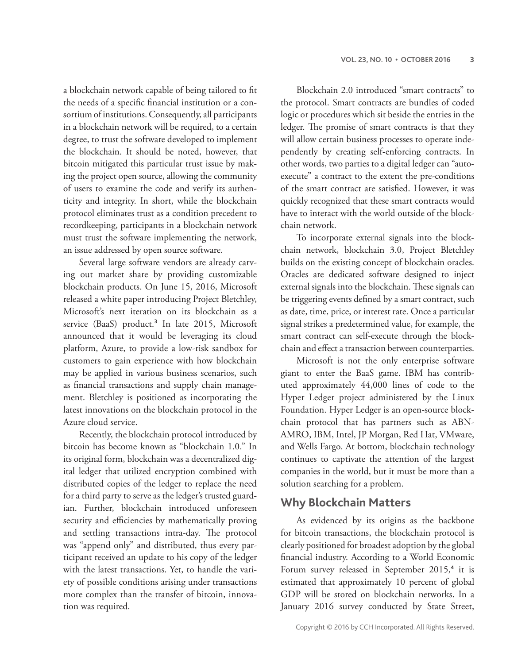a blockchain network capable of being tailored to fit the needs of a specific financial institution or a consortium of institutions. Consequently, all participants in a blockchain network will be required, to a certain degree, to trust the software developed to implement the blockchain. It should be noted, however, that bitcoin mitigated this particular trust issue by making the project open source, allowing the community of users to examine the code and verify its authenticity and integrity. In short, while the blockchain protocol eliminates trust as a condition precedent to recordkeeping, participants in a blockchain network must trust the software implementing the network, an issue addressed by open source software.

Several large software vendors are already carving out market share by providing customizable blockchain products. On June 15, 2016, Microsoft released a white paper introducing Project Bletchley, Microsoft's next iteration on its blockchain as a service (BaaS) product.**<sup>3</sup>** In late 2015, Microsoft announced that it would be leveraging its cloud platform, Azure, to provide a low-risk sandbox for customers to gain experience with how blockchain may be applied in various business scenarios, such as financial transactions and supply chain management. Bletchley is positioned as incorporating the latest innovations on the blockchain protocol in the Azure cloud service.

Recently, the blockchain protocol introduced by bitcoin has become known as "blockchain 1.0." In its original form, blockchain was a decentralized digital ledger that utilized encryption combined with distributed copies of the ledger to replace the need for a third party to serve as the ledger's trusted guardian. Further, blockchain introduced unforeseen security and efficiencies by mathematically proving and settling transactions intra-day. The protocol was "append only" and distributed, thus every participant received an update to his copy of the ledger with the latest transactions. Yet, to handle the variety of possible conditions arising under transactions more complex than the transfer of bitcoin, innovation was required.

Blockchain 2.0 introduced "smart contracts" to the protocol. Smart contracts are bundles of coded logic or procedures which sit beside the entries in the ledger. The promise of smart contracts is that they will allow certain business processes to operate independently by creating self-enforcing contracts. In other words, two parties to a digital ledger can "autoexecute" a contract to the extent the pre-conditions of the smart contract are satisfied. However, it was quickly recognized that these smart contracts would have to interact with the world outside of the blockchain network.

To incorporate external signals into the blockchain network, blockchain 3.0, Project Bletchley builds on the existing concept of blockchain oracles. Oracles are dedicated software designed to inject external signals into the blockchain. These signals can be triggering events defined by a smart contract, such as date, time, price, or interest rate. Once a particular signal strikes a predetermined value, for example, the smart contract can self-execute through the blockchain and effect a transaction between counterparties.

Microsoft is not the only enterprise software giant to enter the BaaS game. IBM has contributed approximately 44,000 lines of code to the Hyper Ledger project administered by the Linux Foundation. Hyper Ledger is an open-source blockchain protocol that has partners such as ABN-AMRO, IBM, Intel, JP Morgan, Red Hat, VMware, and Wells Fargo. At bottom, blockchain technology continues to captivate the attention of the largest companies in the world, but it must be more than a solution searching for a problem.

## **Why Blockchain Matters**

As evidenced by its origins as the backbone for bitcoin transactions, the blockchain protocol is clearly positioned for broadest adoption by the global financial industry. According to a World Economic Forum survey released in September 2015,**<sup>4</sup>** it is estimated that approximately 10 percent of global GDP will be stored on blockchain networks. In a January 2016 survey conducted by State Street,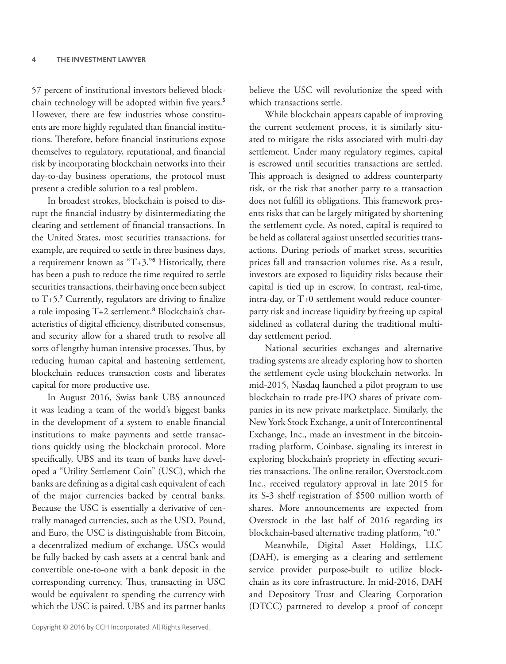57 percent of institutional investors believed blockchain technology will be adopted within five years.<sup>5</sup> However, there are few industries whose constituents are more highly regulated than financial institutions. Therefore, before financial institutions expose themselves to regulatory, reputational, and financial risk by incorporating blockchain networks into their day-to-day business operations, the protocol must present a credible solution to a real problem.

In broadest strokes, blockchain is poised to disrupt the financial industry by disintermediating the clearing and settlement of financial transactions. In the United States, most securities transactions, for example, are required to settle in three business days, a requirement known as "T+3."**<sup>6</sup>** Historically, there has been a push to reduce the time required to settle securities transactions, their having once been subject to  $T+5$ .<sup>7</sup> Currently, regulators are driving to finalize a rule imposing T+2 settlement.**<sup>8</sup>** Blockchain's characteristics of digital efficiency, distributed consensus, and security allow for a shared truth to resolve all sorts of lengthy human intensive processes. Thus, by reducing human capital and hastening settlement, blockchain reduces transaction costs and liberates capital for more productive use.

In August 2016, Swiss bank UBS announced it was leading a team of the world's biggest banks in the development of a system to enable financial institutions to make payments and settle transactions quickly using the blockchain protocol. More specifically, UBS and its team of banks have developed a "Utility Settlement Coin" (USC), which the banks are defining as a digital cash equivalent of each of the major currencies backed by central banks. Because the USC is essentially a derivative of centrally managed currencies, such as the USD, Pound, and Euro, the USC is distinguishable from Bitcoin, a decentralized medium of exchange. USCs would be fully backed by cash assets at a central bank and convertible one-to-one with a bank deposit in the corresponding currency. Thus, transacting in USC would be equivalent to spending the currency with which the USC is paired. UBS and its partner banks believe the USC will revolutionize the speed with which transactions settle.

While blockchain appears capable of improving the current settlement process, it is similarly situated to mitigate the risks associated with multi-day settlement. Under many regulatory regimes, capital is escrowed until securities transactions are settled. This approach is designed to address counterparty risk, or the risk that another party to a transaction does not fulfill its obligations. This framework presents risks that can be largely mitigated by shortening the settlement cycle. As noted, capital is required to be held as collateral against unsettled securities transactions. During periods of market stress, securities prices fall and transaction volumes rise. As a result, investors are exposed to liquidity risks because their capital is tied up in escrow. In contrast, real-time, intra-day, or T+0 settlement would reduce counterparty risk and increase liquidity by freeing up capital sidelined as collateral during the traditional multiday settlement period.

National securities exchanges and alternative trading systems are already exploring how to shorten the settlement cycle using blockchain networks. In mid-2015, Nasdaq launched a pilot program to use blockchain to trade pre-IPO shares of private companies in its new private marketplace. Similarly, the New York Stock Exchange, a unit of Intercontinental Exchange, Inc., made an investment in the bitcointrading platform, Coinbase, signaling its interest in exploring blockchain's propriety in effecting securities transactions. The online retailor, Overstock.com Inc., received regulatory approval in late 2015 for its S-3 shelf registration of \$500 million worth of shares. More announcements are expected from Overstock in the last half of 2016 regarding its blockchain-based alternative trading platform, "t0."

Meanwhile, Digital Asset Holdings, LLC (DAH), is emerging as a clearing and settlement service provider purpose-built to utilize blockchain as its core infrastructure. In mid-2016, DAH and Depository Trust and Clearing Corporation (DTCC) partnered to develop a proof of concept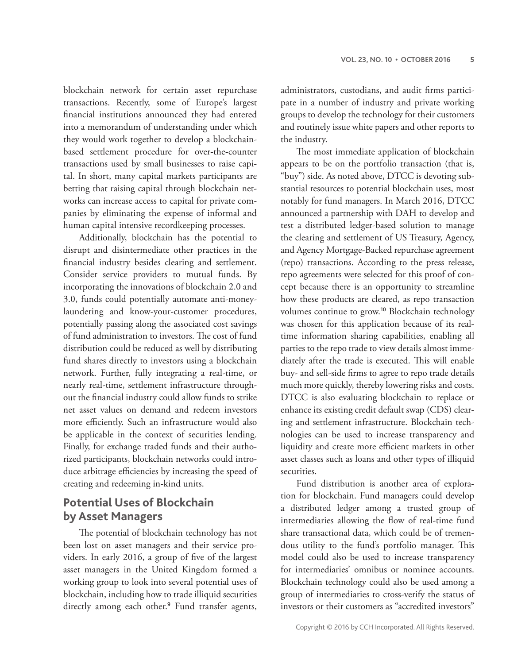blockchain network for certain asset repurchase transactions. Recently, some of Europe's largest financial institutions announced they had entered into a memorandum of understanding under which they would work together to develop a blockchainbased settlement procedure for over-the-counter transactions used by small businesses to raise capital. In short, many capital markets participants are betting that raising capital through blockchain networks can increase access to capital for private companies by eliminating the expense of informal and human capital intensive recordkeeping processes.

Additionally, blockchain has the potential to disrupt and disintermediate other practices in the financial industry besides clearing and settlement. Consider service providers to mutual funds. By incorporating the innovations of blockchain 2.0 and 3.0, funds could potentially automate anti-moneylaundering and know-your-customer procedures, potentially passing along the associated cost savings of fund administration to investors. The cost of fund distribution could be reduced as well by distributing fund shares directly to investors using a blockchain network. Further, fully integrating a real-time, or nearly real-time, settlement infrastructure throughout the financial industry could allow funds to strike net asset values on demand and redeem investors more efficiently. Such an infrastructure would also be applicable in the context of securities lending. Finally, for exchange traded funds and their authorized participants, blockchain networks could introduce arbitrage efficiencies by increasing the speed of creating and redeeming in-kind units.

## **Potential Uses of Blockchain by Asset Managers**

The potential of blockchain technology has not been lost on asset managers and their service providers. In early 2016, a group of five of the largest asset managers in the United Kingdom formed a working group to look into several potential uses of blockchain, including how to trade illiquid securities directly among each other.**<sup>9</sup>** Fund transfer agents, administrators, custodians, and audit firms participate in a number of industry and private working groups to develop the technology for their customers and routinely issue white papers and other reports to the industry.

The most immediate application of blockchain appears to be on the portfolio transaction (that is, "buy") side. As noted above, DTCC is devoting substantial resources to potential blockchain uses, most notably for fund managers. In March 2016, DTCC announced a partnership with DAH to develop and test a distributed ledger-based solution to manage the clearing and settlement of US Treasury, Agency, and Agency Mortgage-Backed repurchase agreement (repo) transactions. According to the press release, repo agreements were selected for this proof of concept because there is an opportunity to streamline how these products are cleared, as repo transaction volumes continue to grow.**<sup>10</sup>** Blockchain technology was chosen for this application because of its realtime information sharing capabilities, enabling all parties to the repo trade to view details almost immediately after the trade is executed. This will enable buy- and sell-side firms to agree to repo trade details much more quickly, thereby lowering risks and costs. DTCC is also evaluating blockchain to replace or enhance its existing credit default swap (CDS) clearing and settlement infrastructure. Blockchain technologies can be used to increase transparency and liquidity and create more efficient markets in other asset classes such as loans and other types of illiquid securities.

Fund distribution is another area of exploration for blockchain. Fund managers could develop a distributed ledger among a trusted group of intermediaries allowing the flow of real-time fund share transactional data, which could be of tremendous utility to the fund's portfolio manager. This model could also be used to increase transparency for intermediaries' omnibus or nominee accounts. Blockchain technology could also be used among a group of intermediaries to cross-verify the status of investors or their customers as "accredited investors"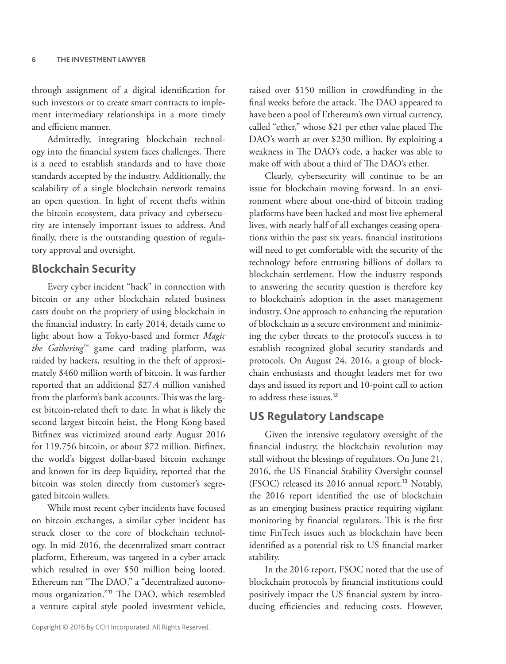through assignment of a digital identification for such investors or to create smart contracts to implement intermediary relationships in a more timely and efficient manner.

Admittedly, integrating blockchain technology into the financial system faces challenges. There is a need to establish standards and to have those standards accepted by the industry. Additionally, the scalability of a single blockchain network remains an open question. In light of recent thefts within the bitcoin ecosystem, data privacy and cybersecurity are intensely important issues to address. And finally, there is the outstanding question of regulatory approval and oversight.

#### **Blockchain Security**

Every cyber incident "hack" in connection with bitcoin or any other blockchain related business casts doubt on the propriety of using blockchain in the financial industry. In early 2014, details came to light about how a Tokyo-based and former *Magic the Gathering*™ game card trading platform, was raided by hackers, resulting in the theft of approximately \$460 million worth of bitcoin. It was further reported that an additional \$27.4 million vanished from the platform's bank accounts. This was the largest bitcoin-related theft to date. In what is likely the second largest bitcoin heist, the Hong Kong-based Bitfinex was victimized around early August 2016 for 119,756 bitcoin, or about \$72 million. Bitfinex, the world's biggest dollar-based bitcoin exchange and known for its deep liquidity, reported that the bitcoin was stolen directly from customer's segregated bitcoin wallets.

While most recent cyber incidents have focused on bitcoin exchanges, a similar cyber incident has struck closer to the core of blockchain technology. In mid-2016, the decentralized smart contract platform, Ethereum, was targeted in a cyber attack which resulted in over \$50 million being looted. Ethereum ran "The DAO," a "decentralized autonomous organization."<sup>11</sup> The DAO, which resembled a venture capital style pooled investment vehicle, raised over \$150 million in crowdfunding in the final weeks before the attack. The DAO appeared to have been a pool of Ethereum's own virtual currency, called "ether," whose \$21 per ether value placed The DAO's worth at over \$230 million. By exploiting a weakness in The DAO's code, a hacker was able to make off with about a third of The DAO's ether.

Clearly, cybersecurity will continue to be an issue for blockchain moving forward. In an environment where about one-third of bitcoin trading platforms have been hacked and most live ephemeral lives, with nearly half of all exchanges ceasing operations within the past six years, financial institutions will need to get comfortable with the security of the technology before entrusting billions of dollars to blockchain settlement. How the industry responds to answering the security question is therefore key to blockchain's adoption in the asset management industry. One approach to enhancing the reputation of blockchain as a secure environment and minimizing the cyber threats to the protocol's success is to establish recognized global security standards and protocols. On August 24, 2016, a group of blockchain enthusiasts and thought leaders met for two days and issued its report and 10-point call to action to address these issues.**<sup>12</sup>**

#### **US Regulatory Landscape**

Given the intensive regulatory oversight of the financial industry, the blockchain revolution may stall without the blessings of regulators. On June 21, 2016, the US Financial Stability Oversight counsel (FSOC) released its 2016 annual report.**<sup>13</sup>** Notably, the 2016 report identified the use of blockchain as an emerging business practice requiring vigilant monitoring by financial regulators. This is the first time FinTech issues such as blockchain have been identified as a potential risk to US financial market stability.

In the 2016 report, FSOC noted that the use of blockchain protocols by financial institutions could positively impact the US financial system by introducing efficiencies and reducing costs. However,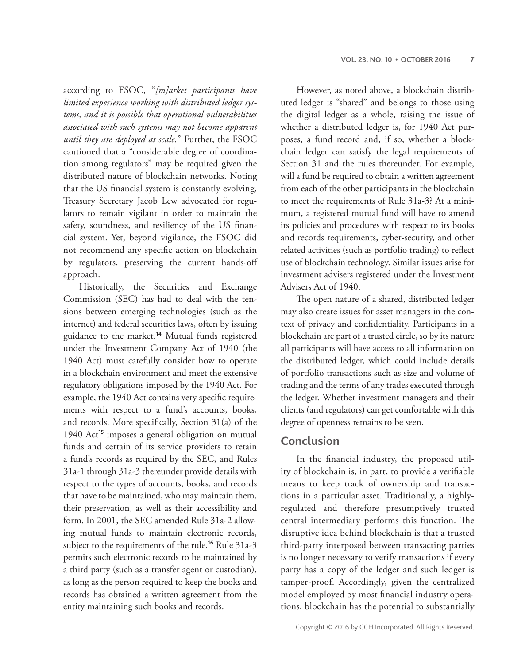according to FSOC, "*[m]arket participants have limited experience working with distributed ledger systems, and it is possible that operational vulnerabilities associated with such systems may not become apparent until they are deployed at scale.*" Further, the FSOC cautioned that a "considerable degree of coordination among regulators" may be required given the distributed nature of blockchain networks. Noting that the US financial system is constantly evolving, Treasury Secretary Jacob Lew advocated for regulators to remain vigilant in order to maintain the safety, soundness, and resiliency of the US financial system. Yet, beyond vigilance, the FSOC did not recommend any specific action on blockchain by regulators, preserving the current hands-off approach.

Historically, the Securities and Exchange Commission (SEC) has had to deal with the tensions between emerging technologies (such as the internet) and federal securities laws, often by issuing guidance to the market.**<sup>14</sup>** Mutual funds registered under the Investment Company Act of 1940 (the 1940 Act) must carefully consider how to operate in a blockchain environment and meet the extensive regulatory obligations imposed by the 1940 Act. For example, the 1940 Act contains very specific requirements with respect to a fund's accounts, books, and records. More specifically, Section  $31(a)$  of the 1940 Act**<sup>15</sup>** imposes a general obligation on mutual funds and certain of its service providers to retain a fund's records as required by the SEC, and Rules 31a-1 through 31a-3 thereunder provide details with respect to the types of accounts, books, and records that have to be maintained, who may maintain them, their preservation, as well as their accessibility and form. In 2001, the SEC amended Rule 31a-2 allowing mutual funds to maintain electronic records, subject to the requirements of the rule.**<sup>16</sup>** Rule 31a-3 permits such electronic records to be maintained by a third party (such as a transfer agent or custodian), as long as the person required to keep the books and records has obtained a written agreement from the entity maintaining such books and records.

However, as noted above, a blockchain distributed ledger is "shared" and belongs to those using the digital ledger as a whole, raising the issue of whether a distributed ledger is, for 1940 Act purposes, a fund record and, if so, whether a blockchain ledger can satisfy the legal requirements of Section 31 and the rules thereunder. For example, will a fund be required to obtain a written agreement from each of the other participants in the blockchain to meet the requirements of Rule 31a-3? At a minimum, a registered mutual fund will have to amend its policies and procedures with respect to its books and records requirements, cyber-security, and other related activities (such as portfolio trading) to reflect use of blockchain technology. Similar issues arise for investment advisers registered under the Investment Advisers Act of 1940.

The open nature of a shared, distributed ledger may also create issues for asset managers in the context of privacy and confidentiality. Participants in a blockchain are part of a trusted circle, so by its nature all participants will have access to all information on the distributed ledger, which could include details of portfolio transactions such as size and volume of trading and the terms of any trades executed through the ledger. Whether investment managers and their clients (and regulators) can get comfortable with this degree of openness remains to be seen.

### **Conclusion**

In the financial industry, the proposed utility of blockchain is, in part, to provide a verifiable means to keep track of ownership and transactions in a particular asset. Traditionally, a highlyregulated and therefore presumptively trusted central intermediary performs this function. The disruptive idea behind blockchain is that a trusted third-party interposed between transacting parties is no longer necessary to verify transactions if every party has a copy of the ledger and such ledger is tamper-proof. Accordingly, given the centralized model employed by most financial industry operations, blockchain has the potential to substantially